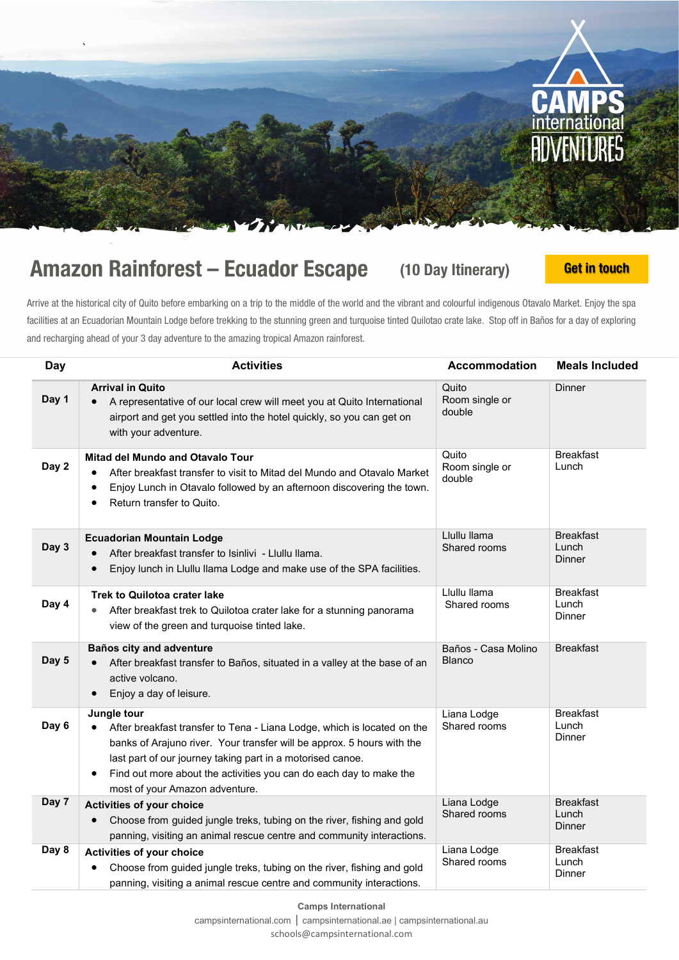

## Amazon Rainforest – Ecuador Escape (10 Day Itinerary) [Get in touch](mailto:schools@campsinternational.com?subject=Teacher%20Holidays%20-%20Ecuador%2010%20days)

Arrive at the historical city of Quito before embarking on a trip to the middle of the world and the vibrant and colourful indigenous Otavalo Market. Enjoy the spa facilities at an Ecuadorian Mountain Lodge before trekking to the stunning green and turquoise tinted Quilotao crate lake. Stop off in Baños for a day of exploring and recharging ahead of your 3 day adventure to the amazing tropical Amazon rainforest.

| <b>Day</b> | <b>Activities</b>                                                                                                                                                                                                                                                                                                                                   | <b>Accommodation</b>                 | <b>Meals Included</b>               |
|------------|-----------------------------------------------------------------------------------------------------------------------------------------------------------------------------------------------------------------------------------------------------------------------------------------------------------------------------------------------------|--------------------------------------|-------------------------------------|
| Day 1      | <b>Arrival in Quito</b><br>A representative of our local crew will meet you at Quito International<br>airport and get you settled into the hotel quickly, so you can get on<br>with your adventure.                                                                                                                                                 | Quito<br>Room single or<br>double    | Dinner                              |
| Day 2      | Mitad del Mundo and Otavalo Tour<br>After breakfast transfer to visit to Mitad del Mundo and Otavalo Market<br>Enjoy Lunch in Otavalo followed by an afternoon discovering the town.<br>Return transfer to Quito.                                                                                                                                   | Quito<br>Room single or<br>double    | <b>Breakfast</b><br>Lunch           |
| Day 3      | <b>Ecuadorian Mountain Lodge</b><br>After breakfast transfer to Isinlivi - Llullu llama.<br>Enjoy lunch in Llullu llama Lodge and make use of the SPA facilities.                                                                                                                                                                                   | Llullu llama<br>Shared rooms         | <b>Breakfast</b><br>Lunch<br>Dinner |
| Day 4      | <b>Trek to Quilotoa crater lake</b><br>After breakfast trek to Quilotoa crater lake for a stunning panorama<br>view of the green and turquoise tinted lake.                                                                                                                                                                                         | Llullu llama<br>Shared rooms         | <b>Breakfast</b><br>Lunch<br>Dinner |
| Day 5      | Baños city and adventure<br>After breakfast transfer to Baños, situated in a valley at the base of an<br>active volcano.<br>Enjoy a day of leisure.                                                                                                                                                                                                 | Baños - Casa Molino<br><b>Blanco</b> | <b>Breakfast</b>                    |
| Day 6      | Jungle tour<br>After breakfast transfer to Tena - Liana Lodge, which is located on the<br>banks of Arajuno river. Your transfer will be approx. 5 hours with the<br>last part of our journey taking part in a motorised canoe.<br>Find out more about the activities you can do each day to make the<br>$\bullet$<br>most of your Amazon adventure. | Liana Lodge<br>Shared rooms          | <b>Breakfast</b><br>Lunch<br>Dinner |
| Day 7      | <b>Activities of your choice</b><br>Choose from guided jungle treks, tubing on the river, fishing and gold<br>$\bullet$<br>panning, visiting an animal rescue centre and community interactions.                                                                                                                                                    | Liana Lodge<br>Shared rooms          | <b>Breakfast</b><br>Lunch<br>Dinner |
| Day 8      | <b>Activities of your choice</b><br>Choose from guided jungle treks, tubing on the river, fishing and gold<br>panning, visiting a animal rescue centre and community interactions.                                                                                                                                                                  | Liana Lodge<br>Shared rooms          | <b>Breakfast</b><br>Lunch<br>Dinner |

**Camps International** [campsinternational.com](https://www.campsinternational.com/) | [campsinternational.ae](https://www.campsinternational.com/uae) | [campsinternational.au](https://www.campsinternational.com/aus)

[schools@campsinternational.com](mailto:schools@campsinternational.com)